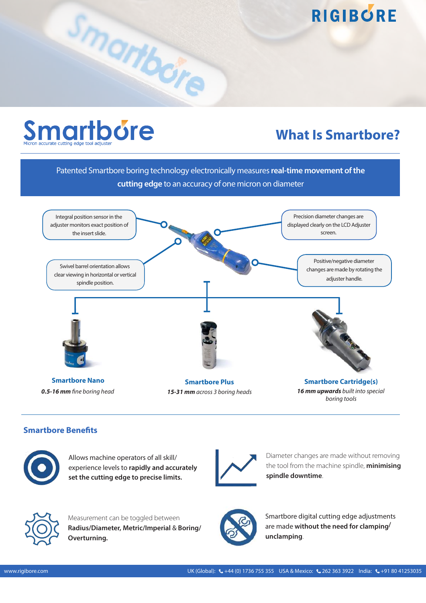

Smartbore

### **What Is Smartbore?**

Patented Smartbore boring technology electronically measures **real-time movement of the cutting edge** to an accuracy of one micron on diameter



**Smartbore Benefits** 



Allows machine operators of all skill/ experience levels to **rapidly and accurately set the cutting edge to precise limits.** 



Diameter changes are made without removing the tool from the machine spindle, **minimising spindle downtime**.



Measurement can be toggled between **Radius/Diameter, Metric/Imperial** & **Boring/ Overturning.**



Smartbore digital cutting edge adjustments are made **without the need for clamping/ unclamping**.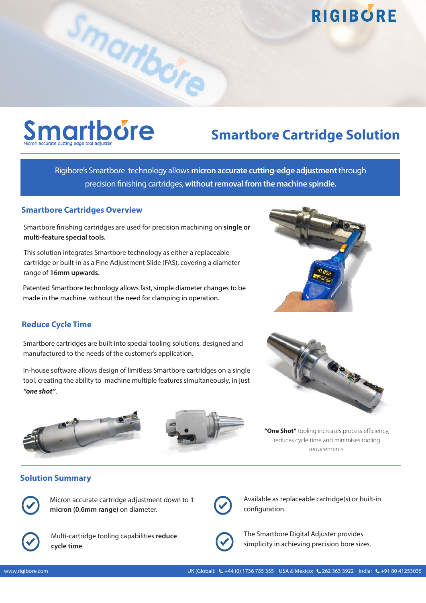## **Smartbore**

### **Smartbore Cartridge Solution**

Rigibore's Smartbore technology allows **micron accurate cutting-edge adjustment**through precision finishing cartridges, **without removal from the machine spindle.** 

#### **Smartbore Cartridges Overview**

Smartbore finishing cartridges are used for precision machining on **single or multi-feature special tools.**

Smartbore

This solution integrates Smartbore technology as either a replaceable cartridge or built-in as a Fine Adjustment Slide (FAS), covering a diameter range of **16mm upwards.**

Patented Smartbore technology allows fast, simple diameter changes to be made in the machine without the need for clamping in operation.



Smartbore cartridges are built into special tooling solutions, designed and manufactured to the needs of the customer's application.

In-house software allows design of limitless Smartbore cartridges on a single tool, creating the ability to machine multiple features simultaneously, in just *"one shot"*.







**"One Shot"** tooling increases process efficiency, reduces cycle time and minimises tooling requirements.

#### **Solution Summary**



Micron accurate cartridge adjustment down to **1 micron (0.6mm range)** on diameter.



Available as replaceable cartridge(s) or built-in configuration.



Multi-cartridge tooling capabilities **reduce cycle time**.



The Smartbore Digital Adjuster provides simplicity in achieving precision bore sizes.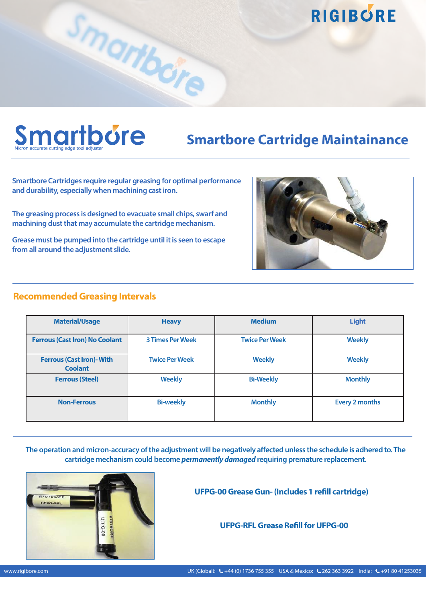# **Smartbore**

### **Smartbore Cartridge Maintainance**

**Smartbore Cartridges require regular greasing for optimal performance and durability, especially when machining cast iron.** 

Smartbore

**The greasing process is designed to evacuate small chips, swarf and machining dust that may accumulate the cartridge mechanism.** 

**Grease must be pumped into the cartridge until it is seen to escape from all around the adjustment slide.** 

#### **Recommended Greasing Intervals**

| <b>Material/Usage</b><br><b>Heavy</b>              |                         | <b>Medium</b>         | <b>Light</b>          |  |
|----------------------------------------------------|-------------------------|-----------------------|-----------------------|--|
| <b>Ferrous (Cast Iron) No Coolant</b>              | <b>3 Times Per Week</b> | <b>Twice Per Week</b> | <b>Weekly</b>         |  |
| <b>Ferrous (Cast Iron)- With</b><br><b>Coolant</b> | <b>Twice Per Week</b>   |                       | <b>Weekly</b>         |  |
| <b>Weekly</b><br><b>Ferrous (Steel)</b>            |                         | <b>Bi-Weekly</b>      | <b>Monthly</b>        |  |
| <b>Non-Ferrous</b>                                 | <b>Bi-weekly</b>        | <b>Monthly</b>        | <b>Every 2 months</b> |  |

**The operation and micron-accuracy of the adjustment will be negatively affected unless the schedule is adhered to. The cartridge mechanism could become** *permanently damaged* **requiring premature replacement.** 



**UFPG-00 Grease Gun- (Includes 1 refill cartridge)** 

**UFPG-RFL Grease Refill for UFPG-00**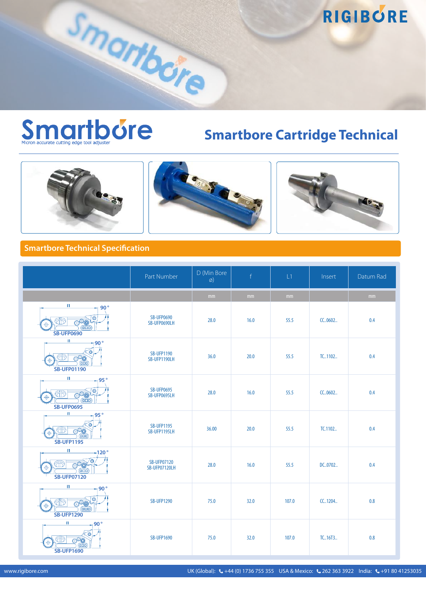

Smartbore

### **Smartbore Cartridge Technical**







#### **Smartbore Technical Specification**

|                                                                                     | Part Number                         | D (Min Bore<br>Ø) | $\mathsf{f}$  | L1    | Insert  | Datum Rad |
|-------------------------------------------------------------------------------------|-------------------------------------|-------------------|---------------|-------|---------|-----------|
|                                                                                     |                                     | mm                | $\mathsf{mm}$ | mm    |         | mm        |
| $\mathbf{H}$<br>⊣ 90°<br>$q_{ID}$<br><b>SB-UFP0690</b>                              | <b>SB-UFP0690</b><br>SB-UFP0690LH   | 28.0              | 16.0          | 55.5  | CC0602  | 0.4       |
| $\mathbf{H}$<br>$190^{\circ}$<br>(000)<br><b>SB-UFP01190</b>                        | <b>SB-UFP1190</b><br>SB-UFP1190LH   | 36.0              | 20.0          | 55.5  | TC1102  | 0.4       |
| $\mathbf{H}$<br>95°<br>$\circ$<br>O <sup>8</sup><br>ന്ന<br>qCD<br><b>SB-UFP0695</b> | <b>SB-UFP0695</b><br>SB-UFP0695LH   | 28.0              | 16.0          | 55.5  | CC0602  | 0.4       |
| $\mathbf{H}$<br>95°<br><b>ant</b><br><b>SB-UFP1195</b>                              | <b>SB-UFP1195</b><br>SB-UFP1195LH   | 36.00             | 20.0          | 55.5  | TC.1102 | 0.4       |
| $\mathbf{H}$<br>$-120°$<br>⊚∞<br>$q_{ID}$<br><b>SB-UFP07120</b>                     | <b>SB-UFP07120</b><br>SB-UFP07120LH | 28.0              | 16.0          | 55.5  | DC0702  | 0.4       |
| $\mathbf{H}$<br>$90^{\circ}$<br>O<br>60<br>(1)<br><b>SB-UFP1290</b>                 | <b>SB-UFP1290</b>                   | 75.0              | 32.0          | 107.0 | CC1204  | 0.8       |
| $\mathbf{H}$<br>90°<br><b>COD</b><br><b>SB-UFP1690</b>                              | <b>SB-UFP1690</b>                   | 75.0              | 32.0          | 107.0 | TC16T3  | 0.8       |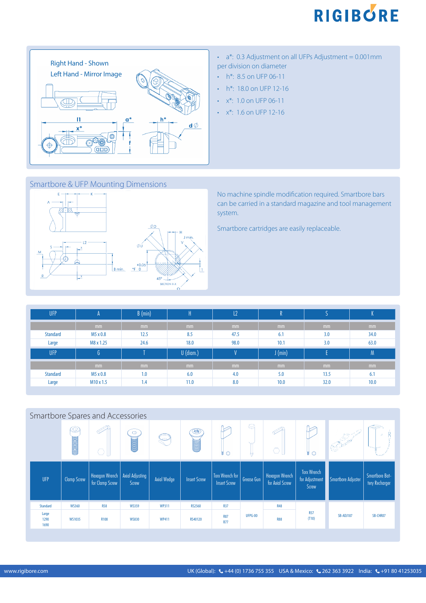



- $\cdot$  a\*: 0.3 Adjustment on all UFPs Adjustment = 0.001mm per division on diameter
- h<sup>\*</sup>: 8.5 on UFP 06-11
- h\*: 18.0 on UFP 12-16
- $\cdot$  x<sup>\*</sup>: 1.0 on UFP 06-11
- $\cdot$  x<sup>\*</sup>: 1.6 on UFP 12-16

#### Smartbore & UFP Mounting Dimensions



No machine spindle modification required. Smartbore bars can be carried in a standard magazine and tool management system.

Smartbore cartridges are easily replaceable.

| <b>UFP</b>      | $\mathsf{A}$ | B (min) | Ή           | L2   |           |      |      |
|-----------------|--------------|---------|-------------|------|-----------|------|------|
|                 | mm           | mm      | mm          | mm   | mm        | mm   | mm   |
| <b>Standard</b> | M5 x 0.8     | 12.5    | 8.5         | 47.5 | 6.1       | 3.0  | 34.0 |
| Large           | M8 x 1.25    | 24.6    | 18.0        | 98.0 | 10.1      | 3.0  | 63.0 |
|                 |              |         |             | V.   |           |      |      |
| <b>UFP</b>      | G            |         | $U$ (diam.) |      | $J$ (min) | Ε    | M    |
|                 | mm           | mm      | mm          | mm   | mm        | mm   | mm   |
| <b>Standard</b> | M5 x 0.8     | 1.0     | 6.0         | 4.0  | 5.0       | 13.5 | 6.1  |

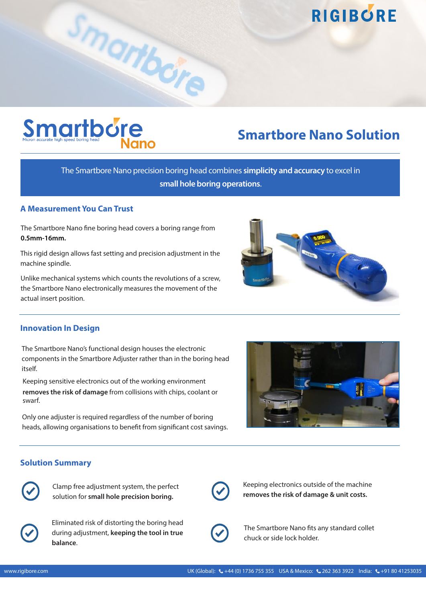

### **Smartbore Nano Solution**

The Smartbore Nano precision boring head combines **simplicity and accuracy** to excel in **small hole boring operations**.

#### **A Measurement You Can Trust**

The Smartbore Nano fine boring head covers a boring range from **0.5mm-16mm.**

Smartbore

This rigid design allows fast setting and precision adjustment in the machine spindle.

Unlike mechanical systems which counts the revolutions of a screw, the Smartbore Nano electronically measures the movement of the actual insert position.



#### **Innovation In Design**

The Smartbore Nano's functional design houses the electronic components in the Smartbore Adjuster rather than in the boring head itself.

Keeping sensitive electronics out of the working environment **removes the risk of damage** from collisions with chips, coolant or swarf.

Only one adjuster is required regardless of the number of boring heads, allowing organisations to benefit from significant cost savings.



#### **Solution Summary**



Clamp free adjustment system, the perfect solution for **small hole precision boring.**



Eliminated risk of distorting the boring head during adjustment, **keeping the tool in true balance**.



Keeping electronics outside of the machine **removes the risk of damage & unit costs.**



The Smartbore Nano fits any standard collet chuck or side lock holder.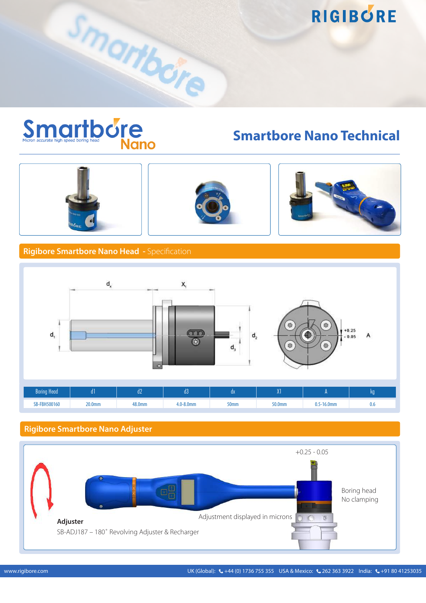

**Smartbore Nano Technical**







#### **Rigibore Smartbore Nano Head -** Specification

Smartbore



#### **Rigibore Smartbore Nano Adjuster**

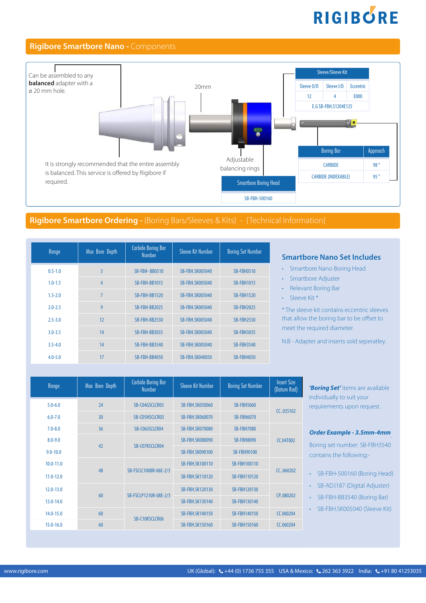#### **Rigibore Smartbore Nano -** Components



#### **Rigibore Smartbore Ordering -** {Boring Bars/Sleeves & Kits} - {Technical Information}

| Range       | Max Bore Depth | <b>Carbide Boring Bar</b><br><b>Number</b> | Sleeve Kit Number      | <b>Boring Set Number</b> |
|-------------|----------------|--------------------------------------------|------------------------|--------------------------|
| $0.5 - 1.0$ | $\overline{3}$ | SB-FBH-BB0510                              | <b>SB-FBH.SK005040</b> | <b>SB-FBH0510</b>        |
| $1.0 - 1.5$ | 4              | <b>SB-FBH-BB1015</b>                       | <b>SB-FBH.SK005040</b> | <b>SB-FBH1015</b>        |
| $1.5 - 2.0$ | $\overline{7}$ | <b>SB-FBH-BB1520</b>                       | <b>SB-FBH.SK005040</b> | <b>SB-FBH1520</b>        |
| $2.0 - 2.5$ | 9              | <b>SB-FBH-BB2025</b>                       | <b>SB-FBH.SK005040</b> | <b>SB-FBH2025</b>        |
| $2.5 - 3.0$ | 12             | SB-FBH-BB2530                              | <b>SB-FBH.SK005040</b> | <b>SB-FBH2530</b>        |
| $3.0 - 3.5$ | 14             | <b>SB-FBH-BB3035</b>                       | <b>SB-FBH.SK005040</b> | <b>SB-FBH3035</b>        |
| $3.5 - 4.0$ | 14             | SB-FBH-BB3540                              | <b>SB-FBH.SK005040</b> | <b>SB-FBH3540</b>        |
| $4.0 - 5.0$ | 17             | <b>SB-FBH-BB4050</b>                       | <b>SB-FBH.SK040050</b> | <b>SB-FBH4050</b>        |

#### **Smartbore Nano Set Includes**

- Smartbore Nano Boring Head
- Smartbore Adjuster
- Relevant Boring Bar
- Sleeve Kit \*

\* The sleeve kit contains eccentric sleeves that allow the boring bar to be offset to meet the required diameter.

N.B - Adapter and inserts sold seperatley.

| Range         | Max Bore Depth | <b>Carbide Boring Bar</b><br><b>Number</b> | Sleeve Kit Number      | <b>Boring Set Number</b> | <b>Insert Size</b><br>(Datum Rad) |
|---------------|----------------|--------------------------------------------|------------------------|--------------------------|-----------------------------------|
| $5.0 - 6.0$   | 24             | SB-C04GSCLCR03                             | <b>SB-FBH.SK050060</b> | <b>SB-FBH5060</b>        | CC03S102                          |
| $6.0 - 7.0$   | 30             | SB-CO5HSCLCR03                             | <b>SB-FBH.SK060070</b> | <b>SB-FBH6070</b>        |                                   |
| $7.0 - 8.0$   | 36             | SB-C06JSCLCR04                             | <b>SB-FBH.SK070080</b> | <b>SB-FBH7080</b>        |                                   |
| $8.0 - 9.0$   | 42             | SB-C07KSCLCR04                             | <b>SB-FBH.SK080090</b> | <b>SB-FBH8090</b>        | <b>CC.04T002</b>                  |
| $9.0 - 10.0$  |                |                                            | <b>SB-FBH.SK090100</b> | <b>SB-FBH90100</b>       |                                   |
| $10.0 - 11.0$ |                |                                            | <b>SB-FBH.SK100110</b> | <b>SB-FBH100110</b>      |                                   |
| $11.0 - 12.0$ | 48             | SB-FSCLC1008R-06E-2/3                      | <b>SB-FBH.SK110120</b> | <b>SB-FBH110120</b>      | CC060202                          |
| $12.0 - 13.0$ | 60             | SB-FSCLP1210R-08E-2/3                      | <b>SB-FBH.SK120130</b> | <b>SB-FBH120130</b>      | CP.080202                         |
| 13.0-14.0     |                |                                            | <b>SB-FBH.SK130140</b> | <b>SB-FBH130140</b>      |                                   |
| $14.0 - 15.0$ | 60             | SB-C10KSCLCR06                             | <b>SB-FBH.SK140150</b> | <b>SB-FBH140150</b>      | CC.060204                         |
| $15.0 - 16.0$ | 60             |                                            | <b>SB-FBH.SK150160</b> | <b>SB-FBH150160</b>      | CC.060204                         |

*'Boring Set'* items are available dividually to suit your equirements upon request.

#### *Order Example - 3.5mm-4mm*.

oring set number: SB-FBH3540 ontains the following:-

- SB-FBH-500160 (Boring Head)
- SB-ADJ187 (Digital Adjuster)
- SB-FBH-BB3540 (Boring Bar)
- SB-FBH.SK005040 (Sleeve Kit)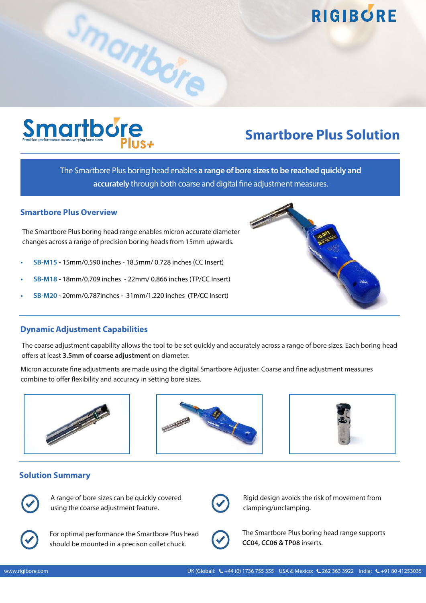### **Smartbore Plus Solution**

The Smartbore Plus boring head enables **a range of bore sizes to be reached quickly and accurately** through both coarse and digital fine adjustment measures.

#### **Smartbore Plus Overview**

Smartborg Plus+

The Smartbore Plus boring head range enables micron accurate diameter changes across a range of precision boring heads from 15mm upwards.

Smartbore

- **• SB-M15** 15mm/0.590 inches 18.5mm/ 0.728 inches (CC Insert)
- **• SB-M18** 18mm/0.709 inches 22mm/ 0.866 inches (TP/CC Insert)
- **• SB-M20** 20mm/0.787inches31mm/1.220 inches **(**TP/CC Insert)

#### **Dynamic Adjustment Capabilities**

The coarse adjustment capability allows the tool to be set quickly and accurately across a range of bore sizes. Each boring head offers at least **3.5mm of coarse adjustment** on diameter.

Micron accurate fine adjustments are made using the digital Smartbore Adjuster. Coarse and fine adjustment measures combine to offer flexibility and accuracy in setting bore sizes.







#### **Solution Summary**



A range of bore sizes can be quickly covered using the coarse adjustment feature.



Rigid design avoids the risk of movement from clamping/unclamping.



For optimal performance the Smartbore Plus head should be mounted in a precison collet chuck.



The Smartbore Plus boring head range supports

**CC04, CC06 & TP08** inserts.

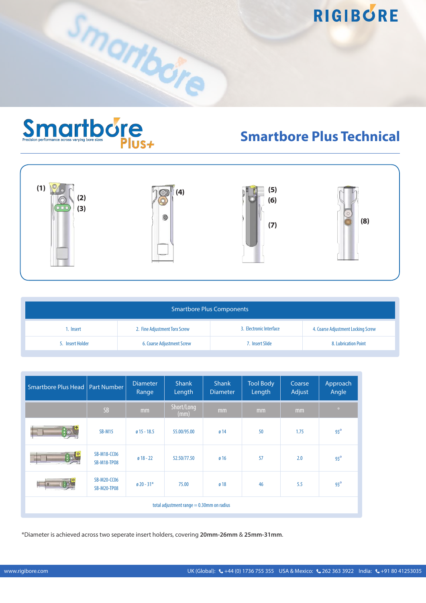

Smartbore

### **Smartbore Plus Technical**



| <b>Smartbore Plus Components</b>                                                                            |                                   |                 |                      |  |  |  |
|-------------------------------------------------------------------------------------------------------------|-----------------------------------|-----------------|----------------------|--|--|--|
| 3. Electronic Interface<br>2. Fine Adjustment Torx Screw<br>4. Coarse Adjustment Locking Screw<br>1. Insert |                                   |                 |                      |  |  |  |
| 5. Insert Holder                                                                                            | <b>6. Coarse Adjustment Screw</b> | 7. Insert Slide | 8. Lubrication Point |  |  |  |

| Smartbore Plus Head   Part Number            |                                          | <b>Diameter</b><br>Range | Shank<br>Length    | <b>Shank</b><br><b>Diameter</b> | <b>Tool Body</b><br>Length | Coarse<br>Adjust | Approach<br>Angle |
|----------------------------------------------|------------------------------------------|--------------------------|--------------------|---------------------------------|----------------------------|------------------|-------------------|
|                                              | <b>SB</b>                                | mm                       | Short/Long<br>(mm) | mm                              | mm                         | mm               | $\bullet$         |
|                                              | $SB-M15$                                 | $015 - 18.5$             | 55.00/95.00        | 014                             | 50                         | 1.75             | $93^\circ$        |
|                                              | <b>SB-M18-CC06</b><br><b>SB-M18-TP08</b> | $018 - 22$               | 52.50/77.50        | ø 16                            | 57                         | 2.0              | $93^\circ$        |
|                                              | <b>SB-M20-CC06</b><br><b>SB-M20-TP08</b> | $\emptyset$ 20 - 31*     | 75.00              | ø 18                            | 46                         | 5.5              | $93^\circ$        |
| total adjustment range $= 0.30$ mm on radius |                                          |                          |                    |                                 |                            |                  |                   |

\*Diameter is achieved across two seperate insert holders, covering **20mm-26mm** & **25mm-31mm**.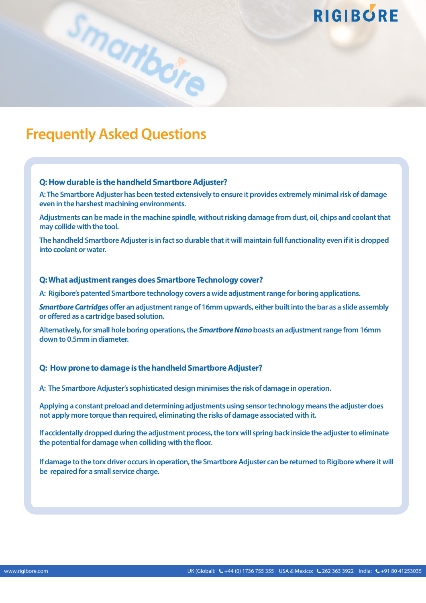### **Frequently Asked Questions**

#### **Q: How durable is the handheld Smartbore Adjuster?**

Smartbore

**A: The Smartbore Adjuster has been tested extensively to ensure it provides extremely minimal risk of damage even in the harshest machining environments.** 

**Adjustments can be made in the machine spindle, without risking damage from dust, oil, chips and coolant that may collide with the tool.** 

**The handheld Smartbore Adjuster is in fact so durable that it will maintain full functionality even if it is dropped into coolant or water.** 

#### **Q: What adjustment ranges does Smartbore Technology cover?**

**A: Rigibore's patented Smartbore technology covers a wide adjustment range for boring applications.**

*Smartbore Cartridges* **offer an adjustment range of 16mm upwards, either built into the bar as a slide assembly or offered as a cartridge based solution.** 

**Alternatively, for small hole boring operations, the** *Smartbore Nano* **boasts an adjustment range from 16mm down to 0.5mm in diameter.**

#### **Q: How prone to damage is the handheld Smartbore Adjuster?**

**A: The Smartbore Adjuster's sophisticated design minimises the risk of damage in operation.** 

**Applying a constant preload and determining adjustments using sensor technology means the adjuster does not apply more torque than required, eliminating the risks of damage associated with it.** 

**If accidentally dropped during the adjustment process, the torx will spring back inside the adjuster to eliminate the potential for damage when colliding with the floor.** 

**If damage to the torx driver occurs in operation, the Smartbore Adjuster can be returned to Rigibore where it will be repaired for a small service charge.**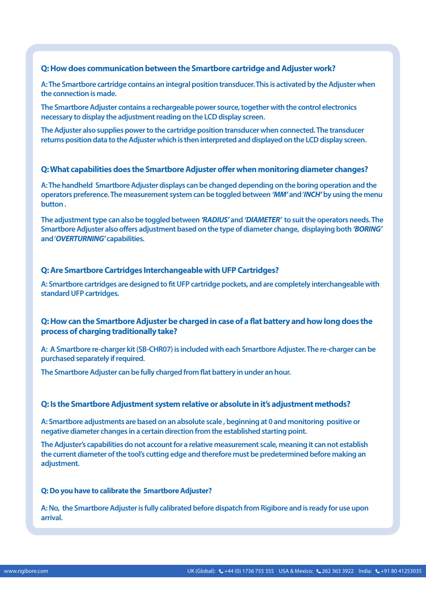#### **Q: How does communication between the Smartbore cartridge and Adjuster work?**

**A: The Smartbore cartridge contains an integral position transducer. This is activated by the Adjuster when the connection is made.**

**The Smartbore Adjuster contains a rechargeable power source, together with the control electronics necessary to display the adjustment reading on the LCD display screen.**

**The Adjuster also supplies power to the cartridge position transducer when connected. The transducer returns position data to the Adjuster which is then interpreted and displayed on the LCD display screen.**

#### **Q: What capabilities does the Smartbore Adjuster offer when monitoring diameter changes?**

**A: The handheld Smartbore Adjuster displays can be changed depending on the boring operation and the operators preference. The measurement system can be toggled between** *'MM'* **and '***INCH'* **by using the menu button .**

**The adjustment type can also be toggled between** *'RADIUS'* **and** *'DIAMETER'* **to suit the operators needs. The Smartbore Adjuster also offers adjustment based on the type of diameter change, displaying both** *'BORING'*  **and '***OVERTURNING'* **capabilities.** 

#### **Q: Are Smartbore Cartridges Interchangeable with UFP Cartridges?**

**A: Smartbore cartridges are designed to fit UFP cartridge pockets, and are completely interchangeable with standard UFP cartridges.**

#### **Q: How can the Smartbore Adjuster be charged in case of a flat battery and how long does the process of charging traditionally take?**

**A: A Smartbore re-charger kit (SB-CHR07) is included with each Smartbore Adjuster. The re-charger can be purchased separately if required.**

**The Smartbore Adjuster can be fully charged from flat battery in under an hour.** 

#### **Q: Is the Smartbore Adjustment system relative or absolute in it's adjustment methods?**

**A: Smartbore adjustments are based on an absolute scale , beginning at 0 and monitoring positive or negative diameter changes in a certain direction from the established starting point.** 

**The Adjuster's capabilities do not account for a relative measurement scale, meaning it can not establish the current diameter of the tool's cutting edge and therefore must be predetermined before making an adjustment.** 

#### **Q: Do you have to calibrate the Smartbore Adjuster?**

**A: No, the Smartbore Adjuster is fully calibrated before dispatch from Rigibore and is ready for use upon arrival.**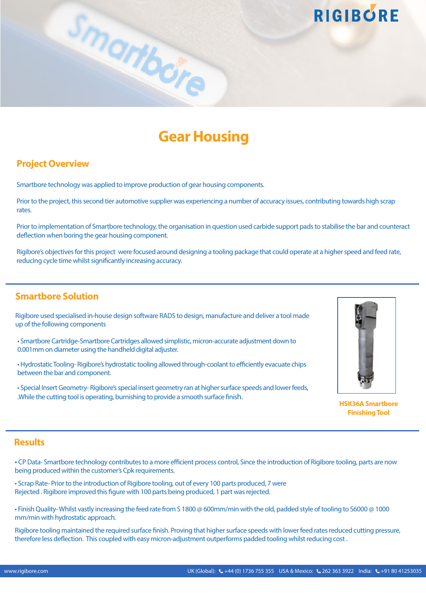

### **Gear Housing**

#### **Project Overview**

Smartbore technology was applied to improve production of gear housing components.

Prior to the project, this second tier automotive supplier was experiencing a number of accuracy issues, contributing towards high scrap rates.

Prior to implementation of Smartbore technology, the organisation in question used carbide support pads to stabilise the bar and counteract deflection when boring the gear housing component.

Rigibore's objectives for this project were focused around designing a tooling package that could operate at a higher speed and feed rate, reducing cycle time whilst significantly increasing accuracy.

#### **Smartbore Solution**

Rigibore used specialised in-house design software RADS to design, manufacture and deliver a tool made up of the following components

• Smartbore Cartridge-Smartbore Cartridges allowed simplistic, micron-accurate adjustment down to 0.001mm on diameter using the handheld digital adjuster.

• Hydrostatic Tooling- Rigibore's hydrostatic tooling allowed through-coolant to efficiently evacuate chips between the bar and component.

• Special Insert Geometry- Rigibore's special insert geometry ran at higher surface speeds and lower feeds, .While the cutting tool is operating, burnishing to provide a smooth surface finish.



**RIGIBORE** 

**HSK36A Smartbore Finishing Tool** 

#### **Results**

• CP Data- Smartbore technology contributes to a more efficient process control, Since the introduction of Rigibore tooling, parts are now being produced within the customer's Cpk requirements.

• Scrap Rate- Prior to the introduction of Rigibore tooling, out of every 100 parts produced, 7 were Rejected . Rigibore improved this figure with 100 parts being produced, 1 part was rejected.

• Finish Quality- Whilst vastly increasing the feed rate from S 1800 @ 600mm/min with the old, padded style of tooling to S6000 @ 1000 mm/min with hydrostatic approach.

Rigibore tooling maintained the required surface finish. Proving that higher surface speeds with lower feed rates reduced cutting pressure, therefore less deflection. This coupled with easy micron-adjustment outperforms padded tooling whilst reducing cost .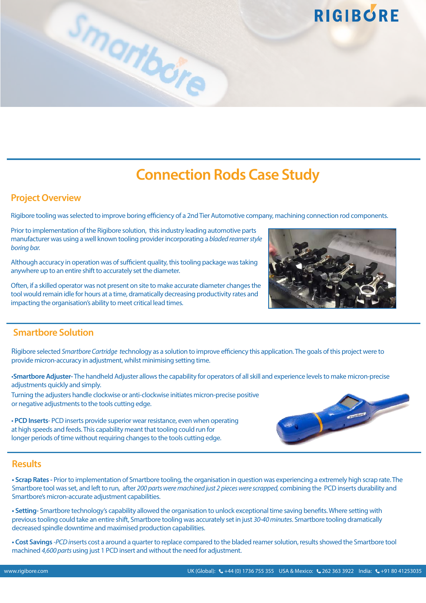### **Connection Rods Case Study**

#### **Project Overview**

Rigibore tooling was selected to improve boring efficiency of a 2nd Tier Automotive company, machining connection rod components.

Prior to implementation of the Rigibore solution, this industry leading automotive parts manufacturer was using a well known tooling provider incorporating a *bladed reamer style boring bar.* 

Smartbore

Although accuracy in operation was of sufficient quality, this tooling package was taking anywhere up to an entire shift to accurately set the diameter.

Often, if a skilled operator was not present on site to make accurate diameter changes the tool would remain idle for hours at a time, dramatically decreasing productivity rates and impacting the organisation's ability to meet critical lead times.

#### **Smartbore Solution**

Rigibore selected *Smartbore Cartridge t*echnology as a solution to improve efficiency this application. The goals of this project were to provide micron-accuracy in adjustment, whilst minimising setting time.

•**Smartbore Adjuster-** The handheld Adjuster allows the capability for operators of all skill and experience levels to make micron-precise adjustments quickly and simply.

Turning the adjusters handle clockwise or anti-clockwise initiates micron-precise positive or negative adjustments to the tools cutting edge.

• **PCD Inserts**- PCD inserts provide superior wear resistance, even when operating at high speeds and feeds. This capability meant that tooling could run for longer periods of time without requiring changes to the tools cutting edge.

#### **Results**

**• Scrap Rates -** Prior to implementation of Smartbore tooling, the organisation in question was experiencing a extremely high scrap rate. The Smartbore tool was set, and left to run, after *200 parts were machined just 2 pieces were scrapped,* combining the PCD inserts durability and Smartbore's micron-accurate adjustment capabilities.

**• Setting-** Smartbore technology's capability allowed the organisation to unlock exceptional time saving benefits. Where setting with previous tooling could take an entire shift, Smartbore tooling was accurately set in just *30-40 minutes*. Smartbore tooling dramatically decreased spindle downtime and maximised production capabilities.

**• Cost Savings** *-PCD in*serts cost a around a quarter to replace compared to the bladed reamer solution, results showed the Smartbore tool machined *4,600 parts* using just 1 PCD insert and without the need for adjustment.





**RIGIBORE**